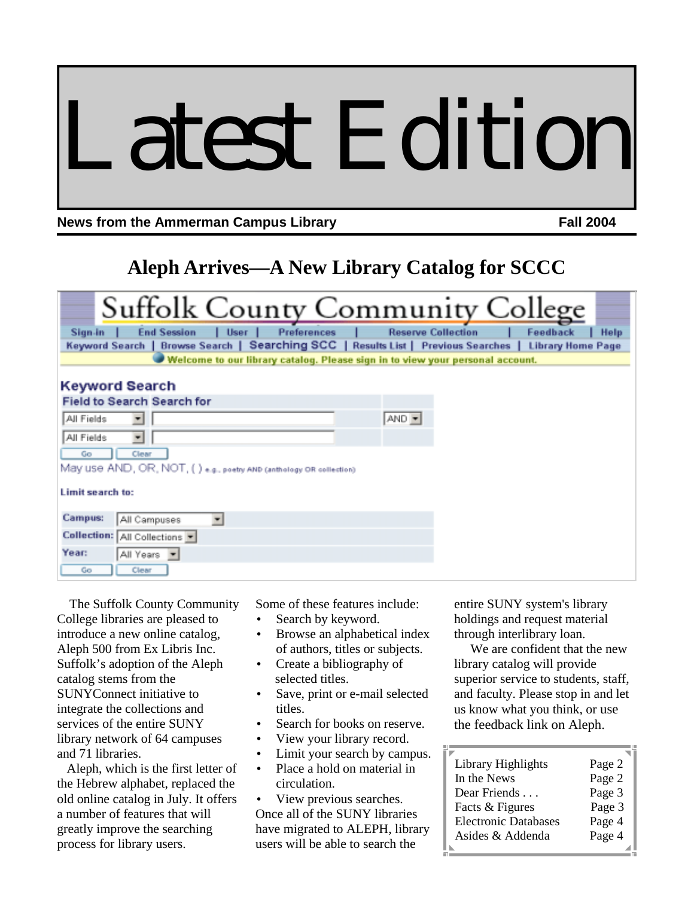# Latest Edition

**News from the Ammerman Campus Library Mean American Campus Library Fall 2004** 

# **Aleph Arrives—A New Library Catalog for SCCC**

| <b>Suffolk County Community College</b>                                                                             |
|---------------------------------------------------------------------------------------------------------------------|
| <b>Reserve Collection</b><br><b>End Session</b><br><b>Preferences</b><br>Feedback<br><b>User</b><br>Sign-in<br>Help |
| Keyword Search   Browse Search   Searching SCC   Results List   Previous Searches   Library Home Page               |
| Welcome to our library catalog. Please sign in to view your personal account.                                       |
| Keyword Search                                                                                                      |
| <b>Field to Search Search for</b>                                                                                   |
| AND -<br>All Fields                                                                                                 |
| $\overline{\phantom{a}}$<br>All Fields                                                                              |
| Go<br>Clear                                                                                                         |
| May use AND, OR, NOT, ( ) e.g., poetry AND (anthology OR collection)                                                |
| Limit search to:                                                                                                    |
| Campus:<br>$\overline{\phantom{a}}$<br>All Campuses                                                                 |
| Collection: All Collections                                                                                         |
| Year:<br>All Years                                                                                                  |
| Go<br>Clear                                                                                                         |

 The Suffolk County Community College libraries are pleased to introduce a new online catalog, Aleph 500 from Ex Libris Inc. Suffolk's adoption of the Aleph catalog stems from the SUNYConnect initiative to integrate the collections and services of the entire SUNY library network of 64 campuses and 71 libraries.

 Aleph, which is the first letter of the Hebrew alphabet, replaced the old online catalog in July. It offers a number of features that will greatly improve the searching process for library users.

Some of these features include:

- Search by keyword.
- Browse an alphabetical index of authors, titles or subjects.
- Create a bibliography of selected titles.
- Save, print or e-mail selected titles.
- Search for books on reserve.
- View your library record.
- Limit your search by campus.
- Place a hold on material in circulation.

View previous searches. Once all of the SUNY libraries have migrated to ALEPH, library users will be able to search the

entire SUNY system's library holdings and request material through interlibrary loan.

 We are confident that the new library catalog will provide superior service to students, staff, and faculty. Please stop in and let us know what you think, or use the feedback link on Aleph.

| Library Highlights          | Page 2 |
|-----------------------------|--------|
| In the News                 | Page 2 |
| Dear Friends                | Page 3 |
| Facts & Figures             | Page 3 |
| <b>Electronic Databases</b> | Page 4 |
| Asides & Addenda            | Page 4 |
|                             |        |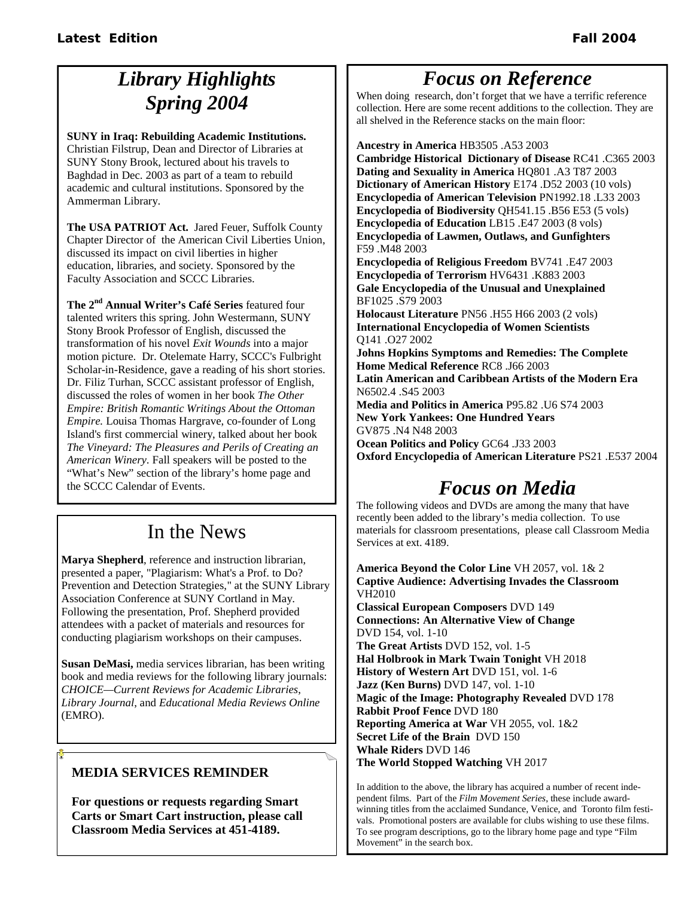# *Library Highlights Spring 2004*

**SUNY in Iraq: Rebuilding Academic Institutions.** 

Christian Filstrup, Dean and Director of Libraries at SUNY Stony Brook, lectured about his travels to Baghdad in Dec. 2003 as part of a team to rebuild academic and cultural institutions. Sponsored by the Ammerman Library.

**The USA PATRIOT Act.** Jared Feuer, Suffolk County Chapter Director of the American Civil Liberties Union, discussed its impact on civil liberties in higher education, libraries, and society. Sponsored by the Faculty Association and SCCC Libraries.

**The 2nd Annual Writer's Café Series** featured four talented writers this spring. John Westermann, SUNY Stony Brook Professor of English, discussed the transformation of his novel *Exit Wounds* into a major motion picture. Dr. Otelemate Harry, SCCC's Fulbright Scholar-in-Residence, gave a reading of his short stories. Dr. Filiz Turhan, SCCC assistant professor of English, discussed the roles of women in her book *The Other Empire: British Romantic Writings About the Ottoman Empire.* Louisa Thomas Hargrave, co-founder of Long Island's first commercial winery, talked about her book *The Vineyard: The Pleasures and Perils of Creating an American Winery*. Fall speakers will be posted to the "What's New" section of the library's home page and the SCCC Calendar of Events.

# In the News

**Marya Shepherd**, reference and instruction librarian, presented a paper, "Plagiarism: What's a Prof. to Do? Prevention and Detection Strategies," at the SUNY Library Association Conference at SUNY Cortland in May. Following the presentation, Prof. Shepherd provided attendees with a packet of materials and resources for conducting plagiarism workshops on their campuses.

**Susan DeMasi,** media services librarian, has been writing book and media reviews for the following library journals: *CHOICE—Current Reviews for Academic Libraries*, *Library Journal*, and *Educational Media Reviews Online*  (EMRO).

## **MEDIA SERVICES REMINDER**

**For questions or requests regarding Smart Carts or Smart Cart instruction, please call Classroom Media Services at 451-4189.**

## *Focus on Reference*

When doing research, don't forget that we have a terrific reference collection. Here are some recent additions to the collection. They are all shelved in the Reference stacks on the main floor:

**Ancestry in America** HB3505 .A53 2003 **Cambridge Historical Dictionary of Disease** RC41 .C365 2003 **Dating and Sexuality in America** HQ801 .A3 T87 2003 **Dictionary of American History** E174 .D52 2003 (10 vols) **Encyclopedia of American Television** PN1992.18 .L33 2003 **Encyclopedia of Biodiversity** QH541.15 .B56 E53 (5 vols) **Encyclopedia of Education** LB15 .E47 2003 (8 vols) **Encyclopedia of Lawmen, Outlaws, and Gunfighters**  F59 .M48 2003 **Encyclopedia of Religious Freedom** BV741 .E47 2003

**Encyclopedia of Terrorism** HV6431 .K883 2003 **Gale Encyclopedia of the Unusual and Unexplained**  BF1025 .S79 2003

**Holocaust Literature** PN56 .H55 H66 2003 (2 vols) **International Encyclopedia of Women Scientists**  Q141 .O27 2002

**Johns Hopkins Symptoms and Remedies: The Complete Home Medical Reference** RC8 .J66 2003

**Latin American and Caribbean Artists of the Modern Era**  N6502.4 .S45 2003

**Media and Politics in America** P95.82 .U6 S74 2003 **New York Yankees: One Hundred Years**  GV875 .N4 N48 2003

**Ocean Politics and Policy** GC64 .J33 2003 **Oxford Encyclopedia of American Literature** PS21 .E537 2004

# *Focus on Media*

The following videos and DVDs are among the many that have recently been added to the library's media collection. To use materials for classroom presentations, please call Classroom Media Services at ext. 4189.

**America Beyond the Color Line** VH 2057, vol. 1& 2 **Captive Audience: Advertising Invades the Classroom** VH2010

**Classical European Composers** DVD 149 **Connections: An Alternative View of Change**  DVD 154, vol. 1-10 **The Great Artists** DVD 152, vol. 1-5 **Hal Holbrook in Mark Twain Tonight** VH 2018 **History of Western Art** DVD 151, vol. 1-6 **Jazz (Ken Burns)** DVD 147, vol. 1-10 **Magic of the Image: Photography Revealed** DVD 178 **Rabbit Proof Fence** DVD 180 **Reporting America at War** VH 2055, vol. 1&2 **Secret Life of the Brain** DVD 150 **Whale Riders** DVD 146 **The World Stopped Watching** VH 2017

In addition to the above, the library has acquired a number of recent independent films. Part of the *Film Movement Series*, these include awardwinning titles from the acclaimed Sundance, Venice, and Toronto film festivals. Promotional posters are available for clubs wishing to use these films. To see program descriptions, go to the library home page and type "Film Movement" in the search box.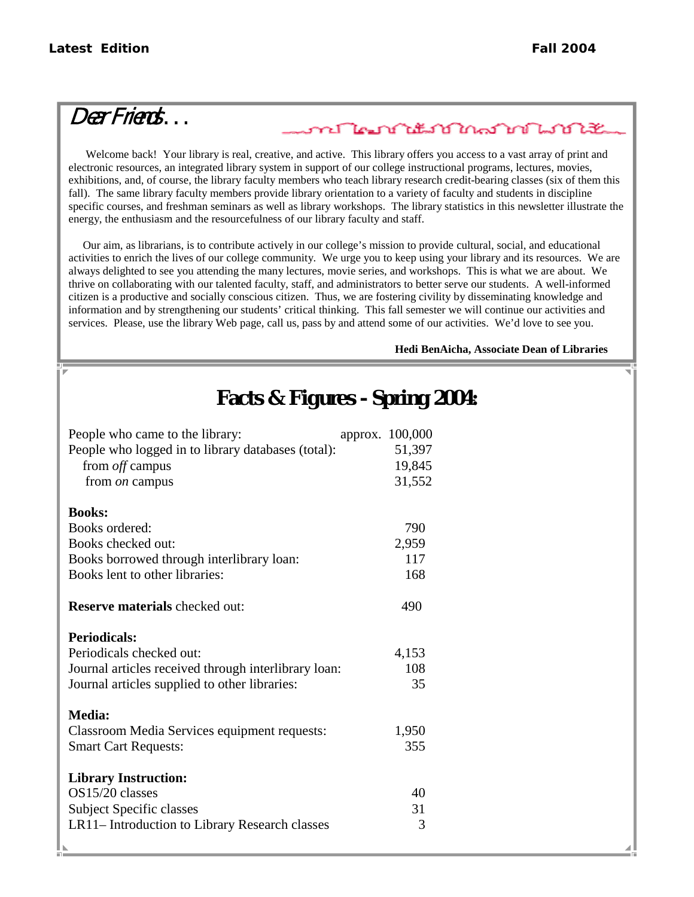# Dear Friends . . .

## <u>ภาย ใคม บำไม่ไม่ไม่ไม่ไม่ไม่ไม่ไม่ไ</u>

 Welcome back! Your library is real, creative, and active. This library offers you access to a vast array of print and electronic resources, an integrated library system in support of our college instructional programs, lectures, movies, exhibitions, and, of course, the library faculty members who teach library research credit-bearing classes (six of them this fall). The same library faculty members provide library orientation to a variety of faculty and students in discipline specific courses, and freshman seminars as well as library workshops. The library statistics in this newsletter illustrate the energy, the enthusiasm and the resourcefulness of our library faculty and staff.

 Our aim, as librarians, is to contribute actively in our college's mission to provide cultural, social, and educational activities to enrich the lives of our college community. We urge you to keep using your library and its resources. We are always delighted to see you attending the many lectures, movie series, and workshops. This is what we are about. We thrive on collaborating with our talented faculty, staff, and administrators to better serve our students. A well-informed citizen is a productive and socially conscious citizen. Thus, we are fostering civility by disseminating knowledge and information and by strengthening our students' critical thinking. This fall semester we will continue our activities and services. Please, use the library Web page, call us, pass by and attend some of our activities. We'd love to see you.

#### **Hedi BenAicha, Associate Dean of Libraries**

## **Facts & Figures - Spring 2004:**

| People who came to the library:                      | approx. 100,000 |
|------------------------------------------------------|-----------------|
| People who logged in to library databases (total):   | 51,397          |
| from <i>off</i> campus                               | 19,845          |
| from <i>on</i> campus                                | 31,552          |
|                                                      |                 |
| <b>Books:</b>                                        |                 |
| Books ordered:                                       | 790             |
| Books checked out:                                   | 2,959           |
| Books borrowed through interlibrary loan:            | 117             |
| Books lent to other libraries:                       | 168             |
|                                                      |                 |
| <b>Reserve materials</b> checked out:                | 490             |
|                                                      |                 |
| <b>Periodicals:</b>                                  |                 |
| Periodicals checked out:                             | 4,153           |
| Journal articles received through interlibrary loan: | 108             |
| Journal articles supplied to other libraries:        | 35              |
|                                                      |                 |
| <b>Media:</b>                                        |                 |
| Classroom Media Services equipment requests:         | 1,950           |
| <b>Smart Cart Requests:</b>                          | 355             |
|                                                      |                 |
| <b>Library Instruction:</b>                          |                 |
| OS15/20 classes                                      | 40              |
| <b>Subject Specific classes</b>                      | 31              |
| LR11–Introduction to Library Research classes        | 3               |
|                                                      |                 |